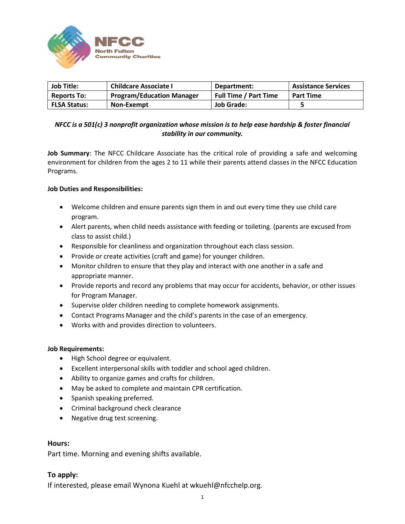

| <b>Job Title:</b>   | <b>Childcare Associate I</b>     | Department:           | <b>Assistance Services</b> |
|---------------------|----------------------------------|-----------------------|----------------------------|
| <b>Reports To:</b>  | <b>Program/Education Manager</b> | Full Time / Part Time | <b>Part Time</b>           |
| <b>FLSA Status:</b> | Non-Exempt                       | Job Grade:            |                            |

# *NFCC is a 501(c) 3 nonprofit organization whose mission is to help ease hardship & foster financial stability in our community.*

**Job Summary**: The NFCC Childcare Associate has the critical role of providing a safe and welcoming environment for children from the ages 2 to 11 while their parents attend classes in the NFCC Education Programs.

## **Job Duties and Responsibilities:**

- Welcome children and ensure parents sign them in and out every time they use child care program.
- Alert parents, when child needs assistance with feeding or toileting. (parents are excused from class to assist child.)
- Responsible for cleanliness and organization throughout each class session.
- Provide or create activities (craft and game) for younger children.
- Monitor children to ensure that they play and interact with one another in a safe and appropriate manner.
- Provide reports and record any problems that may occur for accidents, behavior, or other issues for Program Manager.
- Supervise older children needing to complete homework assignments.
- Contact Programs Manager and the child's parents in the case of an emergency.
- Works with and provides direction to volunteers.

### **Job Requirements:**

- High School degree or equivalent.
- Excellent interpersonal skills with toddler and school aged children.
- Ability to organize games and crafts for children.
- May be asked to complete and maintain CPR certification.
- Spanish speaking preferred.
- Criminal background check clearance
- Negative drug test screening.

### **Hours:**

Part time. Morning and evening shifts available.

# **To apply:**

If interested, please email Wynona Kuehl at wkuehl@nfcchelp.org.